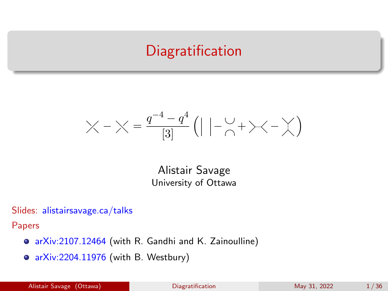## **Diagratification**

<span id="page-0-0"></span>
$$
\times - \times = \frac{q^{-4} - q^4}{[3]} (| | - \underset{\cap}{\cup} + \times - \times)
$$

Alistair Savage University of Ottawa

Slides: [alistairsavage.ca/talks](https://alistairsavage.ca/talks)

Papers

- [arXiv:2107.12464](https://arxiv.org/abs/2107.12464) (with R. Gandhi and K. Zainoulline)
- [arXiv:2204.11976](https://arxiv.org/abs/2204.11976) (with B. Westbury)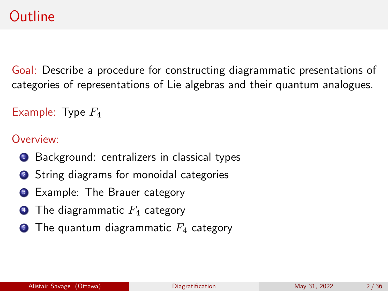# **Outline**

Goal: Describe a procedure for constructing diagrammatic presentations of categories of representations of Lie algebras and their quantum analogues.

```
Example: Type F_4
```
Overview:

- **1** Background: centralizers in classical types
- **2** String diagrams for monoidal categories
- **3** Example: The Brauer category
- The diagrammatic  $F_4$  category
- **5** The quantum diagrammatic  $F_4$  category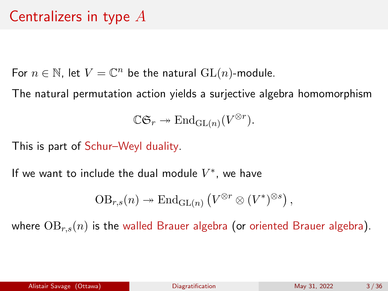# Centralizers in type A

For  $n \in \mathbb{N}$ , let  $V = \mathbb{C}^n$  be the natural  $\mathrm{GL}(n)$ -module.

The natural permutation action yields a surjective algebra homomorphism

 $\mathbb{C}\mathfrak{S}_r \twoheadrightarrow \text{End}_{\text{GL}(n)}(V^{\otimes r}).$ 

This is part of Schur–Weyl duality.

If we want to include the dual module  $V^*$ , we have

$$
\mathrm{OB}_{r,s}(n) \twoheadrightarrow \mathrm{End}_{\mathrm{GL}(n)}\left(V^{\otimes r} \otimes (V^*)^{\otimes s}\right),
$$

where  $OB_{r,s}(n)$  is the walled Brauer algebra (or oriented Brauer algebra).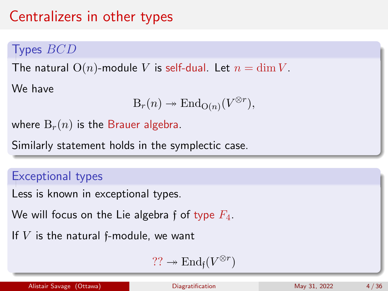# Centralizers in other types

## Types BCD

The natural  $O(n)$ -module V is self-dual. Let  $n = \dim V$ .

We have

$$
\mathcal{B}_r(n) \twoheadrightarrow \mathrm{End}_{\mathcal{O}(n)}(V^{\otimes r}),
$$

where  $B_r(n)$  is the Brauer algebra.

Similarly statement holds in the symplectic case.

#### Exceptional types

Less is known in exceptional types.

We will focus on the Lie algebra f of type  $F_4$ .

If  $V$  is the natural f-module, we want

$$
\mathsf{??} \twoheadrightarrow \mathrm{End}_{\mathfrak{f}}(V^{\otimes r})
$$

Alistair Savage (Ottawa) **[Diagratification](#page-0-0)** Diagratification May 31, 2022 4/36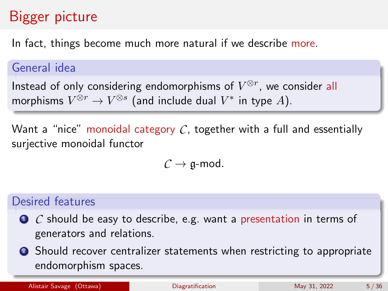# Bigger picture

In fact, things become much more natural if we describe more.

#### General idea

Instead of only considering endomorphisms of  $V^{\otimes r}$ , we consider all morphisms  $V^{\otimes r}\to V^{\otimes s}$  (and include dual  $V^*$  in type  $A).$ 

Want a "nice" monoidal category  $C$ , together with a full and essentially surjective monoidal functor

 $C \rightarrow \mathfrak{g}\text{-mod}.$ 

#### Desired features

- *C* should be easy to describe, e.g. want a presentation in terms of generators and relations.
- **2** Should recover centralizer statements when restricting to appropriate endomorphism spaces.

Alistair Savage (Ottawa) **[Diagratification](#page-0-0)** Diagratification May 31, 2022 5/36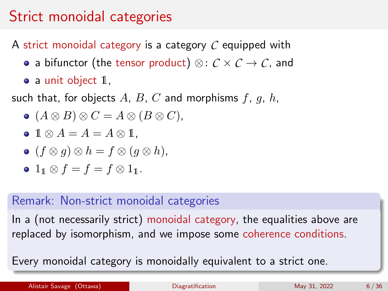# Strict monoidal categories

A strict monoidal category is a category *C* equipped with

- a bifunctor (the tensor product) ⊗: *C* × *C* → *C*, and
- $\bullet$  a unit object  $1$ ,

such that, for objects A, B, C and morphisms  $f, g, h$ ,

$$
\bullet (A \otimes B) \otimes C = A \otimes (B \otimes C),
$$

$$
\bullet \; 1 \otimes A = A = A \otimes 1,
$$

$$
\bullet \ (f \otimes g) \otimes h = f \otimes (g \otimes h),
$$

 $\bullet$  1<sub>1</sub>  $\otimes$   $f = f = f \otimes 1$ <sub>1</sub>.

#### Remark: Non-strict monoidal categories

In a (not necessarily strict) monoidal category, the equalities above are replaced by isomorphism, and we impose some coherence conditions.

Every monoidal category is monoidally equivalent to a strict one.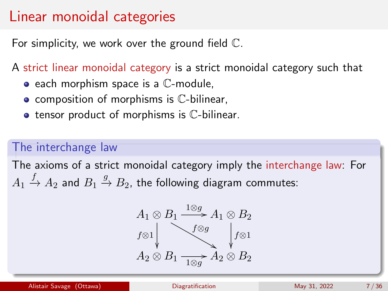## Linear monoidal categories

For simplicity, we work over the ground field C.

A strict linear monoidal category is a strict monoidal category such that

- $\bullet$  each morphism space is a  $\mathbb C$ -module,
- $\bullet$  composition of morphisms is  $\mathbb C$ -bilinear,
- $\bullet$  tensor product of morphisms is  $\mathbb C$ -bilinear.

### The interchange law

The axioms of a strict monoidal category imply the interchange law: For  $A_1 \xrightarrow{f} A_2$  and  $B_1 \xrightarrow{g} B_2$ , the following diagram commutes:

$$
A_1 \otimes B_1 \xrightarrow{1 \otimes g} A_1 \otimes B_2
$$
  

$$
f \otimes 1
$$
  

$$
A_2 \otimes B_1 \xrightarrow{f \otimes g} A_2 \otimes B_2
$$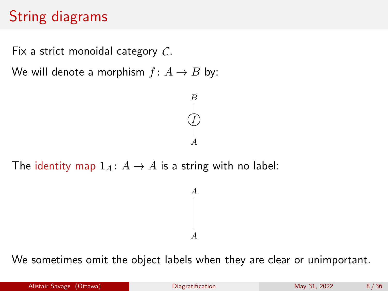# String diagrams

Fix a strict monoidal category *C*.

We will denote a morphism  $f: A \rightarrow B$  by:



The identity map  $1_A: A \rightarrow A$  is a string with no label:

We sometimes omit the object labels when they are clear or unimportant.

A

A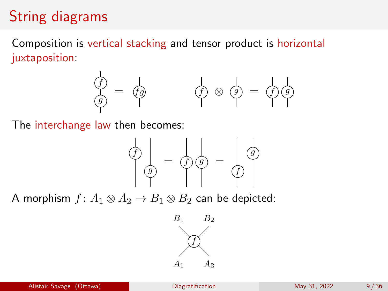# String diagrams

Composition is vertical stacking and tensor product is horizontal juxtaposition:



The interchange law then becomes:



A morphism  $f: A_1 \otimes A_2 \rightarrow B_1 \otimes B_2$  can be depicted:

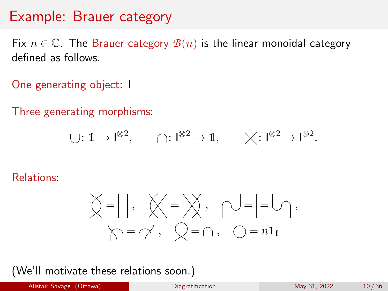Fix  $n \in \mathbb{C}$ . The Brauer category  $\mathcal{B}(n)$  is the linear monoidal category defined as follows.

One generating object: I

Three generating morphisms:

$$
\bigcup: 1 \to l^{\otimes 2}, \qquad \bigcap: l^{\otimes 2} \to 1, \qquad \bigtimes: l^{\otimes 2} \to l^{\otimes 2}.
$$

Relations:

$$
\begin{array}{c} \bigcirc \bigcirc \, = \, \bigcirc \, \bigcirc \, , \quad \bigcirc \bigcirc \, = \, \bigcirc \, = \, \bigcirc \, , \\ \bigcirc \, \bigcirc \, = \, \bigcirc \bigcirc \, , \quad \bigcirc \, = \, \bigcirc \, , \quad \bigcirc \, = \, \bigcirc \, \bigcirc \, , \end{array}
$$

(We'll motivate these relations soon.)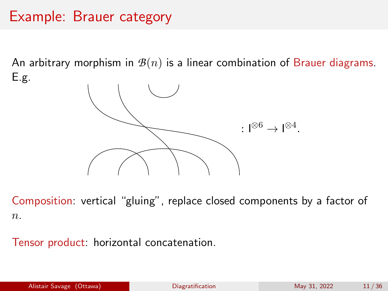An arbitrary morphism in  $\mathcal{B}(n)$  is a linear combination of Brauer diagrams. E.g.



Composition: vertical "gluing", replace closed components by a factor of  $n$ .

Tensor product: horizontal concatenation.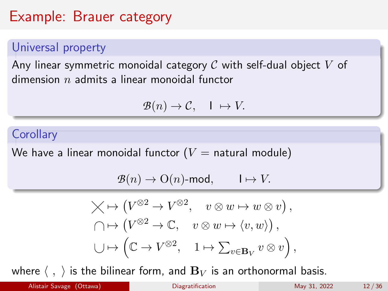## Universal property

Any linear symmetric monoidal category  $\mathcal C$  with self-dual object  $V$  of dimension  $n$  admits a linear monoidal functor

$$
\mathcal{B}(n)\to\mathcal{C},\quad 1\;\mapsto V.
$$

#### **Corollary**

We have a linear monoidal functor ( $V =$  natural module)

$$
\mathcal{B}(n) \to \mathrm{O}(n)\text{-mod}, \qquad I \mapsto V.
$$

$$
\times \mapsto (V^{\otimes 2} \to V^{\otimes 2}, \quad v \otimes w \to w \otimes v),
$$
  

$$
\cap \mapsto (V^{\otimes 2} \to \mathbb{C}, \quad v \otimes w \to \langle v, w \rangle),
$$
  

$$
\cup \mapsto (\mathbb{C} \to V^{\otimes 2}, \quad 1 \mapsto \sum_{v \in \mathbf{B}_V} v \otimes v),
$$

where  $\langle , \rangle$  is the bilinear form, and  $B_V$  is an orthonormal basis.

Alistair Savage (Ottawa) **[Diagratification](#page-0-0)** Diagratification May 31, 2022 12/36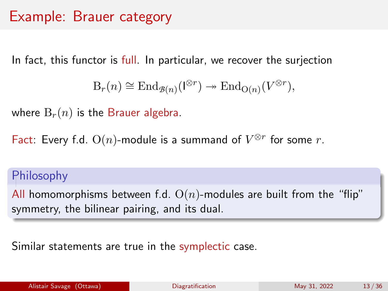In fact, this functor is full. In particular, we recover the surjection

$$
\mathcal{B}_r(n) \cong \mathrm{End}_{\mathcal{B}(n)}(\mathcal{I}^{\otimes r}) \twoheadrightarrow \mathrm{End}_{\mathcal{O}(n)}(V^{\otimes r}),
$$

where  $B_r(n)$  is the Brauer algebra.

Fact: Every f.d.  $O(n)$ -module is a summand of  $V^{\otimes r}$  for some  $r$ .

#### Philosophy

All homomorphisms between f.d.  $O(n)$ -modules are built from the "flip" symmetry, the bilinear pairing, and its dual.

Similar statements are true in the symplectic case.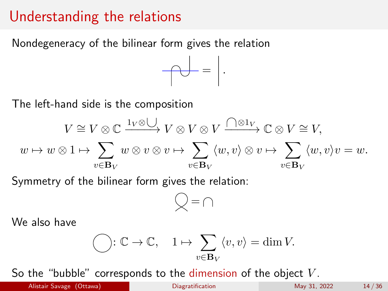## Understanding the relations

Nondegeneracy of the bilinear form gives the relation



The left-hand side is the composition

$$
V \cong V \otimes \mathbb{C} \xrightarrow{\mathbf{1}_V \otimes \bigcup} V \otimes V \otimes V \xrightarrow{\bigcap \otimes \mathbf{1}_V} \mathbb{C} \otimes V \cong V,
$$
  

$$
w \mapsto w \otimes 1 \mapsto \sum_{v \in \mathbf{B}_V} w \otimes v \otimes v \mapsto \sum_{v \in \mathbf{B}_V} \langle w, v \rangle \otimes v \mapsto \sum_{v \in \mathbf{B}_V} \langle w, v \rangle v = w.
$$

Symmetry of the bilinear form gives the relation:

$$
\bigcirc \, = \, \bigcirc
$$

We also have

$$
\bigodot : \mathbb{C} \to \mathbb{C}, \quad 1 \mapsto \sum_{v \in \mathbf{B}_V} \langle v, v \rangle = \dim V.
$$

So the "bubble" corresponds to the dimension of the object  $V$ .

Alistair Savage (Ottawa) **[Diagratification](#page-0-0)** Diagratification May 31, 2022 14/36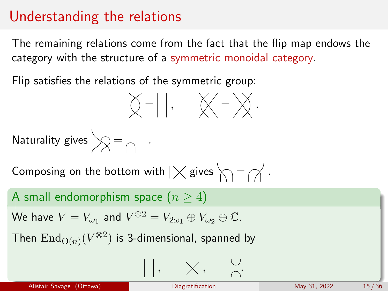## Understanding the relations

The remaining relations come from the fact that the flip map endows the category with the structure of a symmetric monoidal category.

Flip satisfies the relations of the symmetric group:

$$
\sum_{i=1}^n\frac{1}{i} \left| \begin{array}{cc} 1, & \text{if } i \neq j \\ 0, & \text{if } i \neq j \end{array} \right|.
$$

Naturality gives  $\bigotimes = \bigcap$  .

Composing on the bottom with  $|\times$  gives  $\setminus$  =  $\curvearrowright$ .

A small endomorphism space  $(n \geq 4)$ 

We have 
$$
V = V_{\omega_1}
$$
 and  $V^{\otimes 2} = V_{2\omega_1} \oplus V_{\omega_2} \oplus \mathbb{C}$ .

Then  $\operatorname{End}_{\operatorname{O}(n)}(V^{\otimes 2})$  is 3-dimensional, spanned by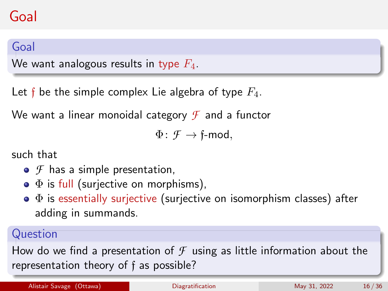# Goal

## Goal

We want analogous results in type  $F_4$ .

Let f be the simple complex Lie algebra of type  $F_4$ .

We want a linear monoidal category *F* and a functor

 $\Phi: \mathcal{F} \to \text{f-mod}$ ,

such that

- $\bullet$  *F* has a simple presentation,
- $\bullet$   $\Phi$  is full (surjective on morphisms),
- $\bullet$   $\Phi$  is essentially surjective (surjective on isomorphism classes) after adding in summands.

### Question

How do we find a presentation of  $\mathcal F$  using as little information about the representation theory of f as possible?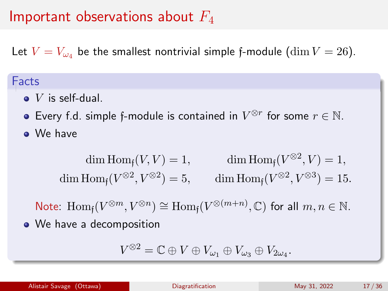## Important observations about  $F_4$

Let  $V = V_{\omega_4}$  be the smallest nontrivial simple f-module (dim  $V = 26$ ).

#### Facts

- $\bullet$  V is self-dual.
- Every f.d. simple f-module is contained in  $V^{\otimes r}$  for some  $r \in \mathbb{N}$ . We have

$$
\dim \text{Hom}_{\mathfrak{f}}(V, V) = 1, \qquad \dim \text{Hom}_{\mathfrak{f}}(V^{\otimes 2}, V) = 1,
$$
  

$$
\dim \text{Hom}_{\mathfrak{f}}(V^{\otimes 2}, V^{\otimes 2}) = 5, \qquad \dim \text{Hom}_{\mathfrak{f}}(V^{\otimes 2}, V^{\otimes 3}) = 15.
$$

Note:  $\text{Hom}_{\mathfrak{f}}(V^{\otimes m}, V^{\otimes n}) \cong \text{Hom}_{\mathfrak{f}}(V^{\otimes (m+n)}, \mathbb{C})$  for all  $m, n \in \mathbb{N}$ . • We have a decomposition

$$
V^{\otimes 2}=\mathbb{C}\oplus V\oplus V_{\omega_1}\oplus V_{\omega_3}\oplus V_{2\omega_4}.
$$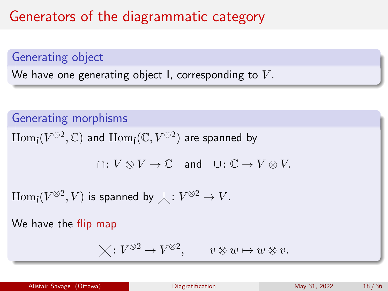# Generators of the diagrammatic category

Generating object

We have one generating object I, corresponding to  $V$ .

Generating morphisms

 $\operatorname{Hom}_{\mathfrak{f}}(V^{\otimes 2},\mathbb{C})$  and  $\operatorname{Hom}_{\mathfrak{f}}(\mathbb{C},V^{\otimes 2})$  are spanned by

 $\cap: V \otimes V \to \mathbb{C}$  and  $\cup: \mathbb{C} \to V \otimes V$ .

 $\mathrm{Hom}_{\mathfrak{f}} (V^{\otimes 2}, V)$  is spanned by  $\overline{\mathcal{\lambda}}: V^{\otimes 2} \to V.$ 

We have the flip map

$$
\bigtimes\colon V^{\otimes 2}\to V^{\otimes 2},\qquad v\otimes w\mapsto w\otimes v.
$$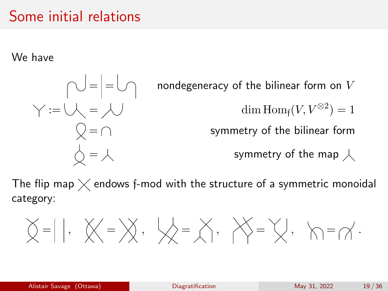## Some initial relations

We have

 $\text{min} = \text{min}$  nondegeneracy of the bilinear form on V  $\mathfrak{z}:=\bigcup_{\mathbb{R}}\;=\;\bigcup_{\mathbb{R}}\;=\;\bigcup_{\mathbb{R}}\;=\;\mathbb{R}.$  $\bigcirc$  =  $\bigcap$  symmetry of the bilinear form  $\overrightarrow{\bigcirc} = \overrightarrow{\bigwedge}$  symmetry of the map  $\overrightarrow{\bigwedge}$ 

The flip map  $\times$  endows f-mod with the structure of a symmetric monoidal category:

= , = , = , = , = .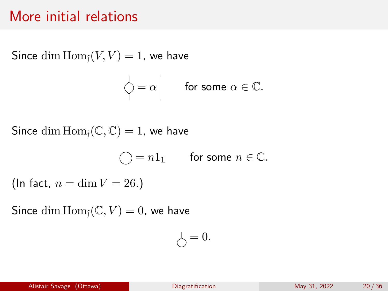## More initial relations

Since dim  $\text{Hom}_{\text{f}}(V, V) = 1$ , we have

$$
\left.\bigwedge\limits^{\mathbb{I}}=\alpha\;\right|\qquad\text{for some }\alpha\in\mathbb{C}.
$$

Since dim  $\text{Hom}_{f}(\mathbb{C}, \mathbb{C}) = 1$ , we have

$$
\bigcirc = n1_1 \qquad \text{for some } n \in \mathbb{C}.
$$

(In fact,  $n = \dim V = 26$ .)

Since dim  $\text{Hom}_{\text{f}}(\mathbb{C}, V) = 0$ , we have

$$
\bigcirc = 0.
$$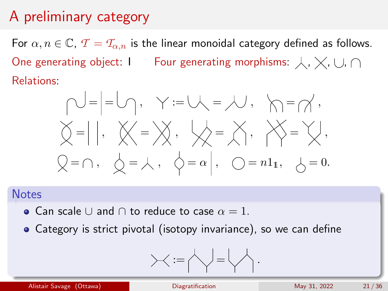# A preliminary category

For  $\alpha, n \in \mathbb{C}$ ,  $\mathcal{T} = \mathcal{T}_{\alpha,n}$  is the linear monoidal category defined as follows. One generating object: I Four generating morphisms:  $\downarrow$ ,  $\times$ ,  $\cup$ ,  $\cap$ Relations:

$$
\bigvee_{i=1}^{n} = \bigvee_{i=1}^{n} P_{i} \quad \forall i = 1, \quad \forall i = 1, \quad \forall i = 1, \quad \forall i = 1, \quad \forall i = 1, \quad \forall i = 1, \quad \forall i = 1, \quad \forall i = 1, \quad \forall i = 1, \quad \forall i = 1, \quad \forall i = 1, \quad \forall i = 1, \quad \forall i = 1, \quad \forall i = 1, \quad \forall i = 1, \quad \forall i = 1, \quad \forall i = 1, \quad \forall i = 1, \quad \forall i = 1, \quad \forall i = 1, \quad \forall i = 1, \quad \forall i = 1, \quad \forall i = 1, \quad \forall i = 1, \quad \forall i = 1, \quad \forall i = 1, \quad \forall i = 1, \quad \forall i = 1, \quad \forall i = 1, \quad \forall i = 1, \quad \forall i = 1, \quad \forall i = 1, \quad \forall i = 1, \quad \forall i = 1, \quad \forall i = 1, \quad \forall i = 1, \quad \forall i = 1, \quad \forall i = 1, \quad \forall i = 1, \quad \forall i = 1, \quad \forall i = 1, \quad \forall i = 1, \quad \forall i = 1, \quad \forall i = 1, \quad \forall i = 1, \quad \forall i = 1, \quad \forall i = 1, \quad \forall i = 1, \quad \forall i = 1, \quad \forall i = 1, \quad \forall i = 1, \quad \forall i = 1, \quad \forall i = 1, \quad \forall i = 1, \quad \forall i = 1, \quad \forall i = 1, \quad \forall i = 1, \quad \forall i = 1, \quad \forall i = 1, \quad \forall i = 1, \quad \forall i = 1, \quad \forall i = 1, \quad \forall i = 1, \quad \forall i = 1, \quad \forall i = 1, \quad \forall i = 1, \quad \forall i = 1, \quad \forall i = 1, \quad \forall i = 1, \quad \forall i = 1, \quad \forall i = 1, \quad \forall i = 1, \quad \forall i = 1, \quad \forall i = 1, \quad \forall i = 1, \quad \forall i = 1, \quad \forall i = 1, \quad \forall i = 1, \quad \forall i = 1, \quad \forall i = 1, \quad \forall i = 1, \quad
$$

#### **Notes**

- Can scale ∪ and  $\cap$  to reduce to case  $\alpha = 1$ .
- Category is strict pivotal (isotopy invariance), so we can define

$$
\textcolor{blue}{\succ}\textcolor{blue}{<:=}\textcolor{blue}{\bigwedge}\textcolor{blue}{=}\textcolor{blue}{\bigwedge}\textcolor{blue}{\cdot}.
$$

Alistair Savage (Ottawa) **[Diagratification](#page-0-0)** Diagratification May 31, 2022 21/36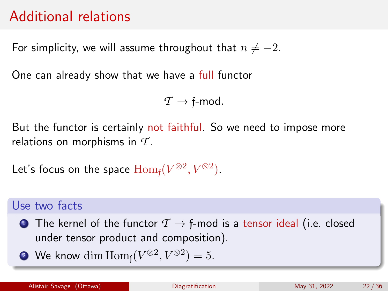# Additional relations

For simplicity, we will assume throughout that  $n \neq -2$ .

One can already show that we have a full functor

 $\tau \rightarrow$  f-mod.

But the functor is certainly not faithful. So we need to impose more relations on morphisms in *T* .

Let's focus on the space  $\mathrm{Hom}_{\mathfrak{f}}(V^{\otimes 2},V^{\otimes 2}).$ 

### Use two facts

- **1** The kernel of the functor  $T \rightarrow f$ -mod is a tensor ideal (i.e. closed under tensor product and composition).
- **?** We know  $\dim \operatorname{Hom}_{\mathfrak{f}}(V^{\otimes 2}, V^{\otimes 2}) = 5.$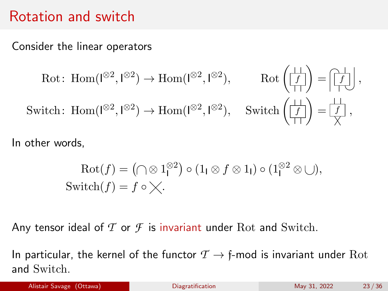## Rotation and switch

Consider the linear operators

$$
\text{Rot: Hom}(I^{\otimes 2}, I^{\otimes 2}) \to \text{Hom}(I^{\otimes 2}, I^{\otimes 2}), \qquad \text{Rot}\left(\frac{I}{I+I}\right) = \left|\frac{I}{I+I}\right|,
$$
\n
$$
\text{Switch: Hom}(I^{\otimes 2}, I^{\otimes 2}) \to \text{Hom}(I^{\otimes 2}, I^{\otimes 2}), \qquad \text{Switch}\left(\frac{I}{I+I}\right) = \frac{I}{X},
$$

In other words,

$$
Rot(f) = (\bigcap \otimes 1_1^{\otimes 2}) \circ (1_1 \otimes f \otimes 1_1) \circ (1_1^{\otimes 2} \otimes \bigcup),
$$
  
Switch $(f) = f \circ \times$ .

Any tensor ideal of  $\mathcal T$  or  $\mathcal F$  is invariant under Rot and Switch.

In particular, the kernel of the functor  $\mathcal{T} \rightarrow \mathfrak{f}$ -mod is invariant under Rot and Switch.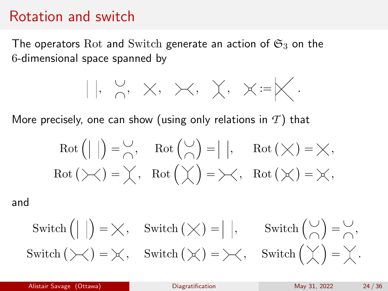## Rotation and switch

The operators Rot and Switch generate an action of  $\mathfrak{S}_3$  on the 6-dimensional space spanned by

$$
|x|, \begin{array}{l} \circ \\ \circ \\ \circ \end{array}, x, x \times x, x \times y := \bigtimes.
$$

More precisely, one can show (using only relations in  $\mathcal{T}$ ) that

$$
Rot(||) = \bigcap_{\bigcap}
$$
,  $Rot(\bigcap_{\bigcap}$ ) = | |,  $Rot(\times) = \times$ ,  
Rot( $\times$ ) =  $\times$ ,  $Rot(\times) = \times$ ,  $Rot(\times) = \times$ ,

and

$$
\text{Switch } \left( \big| \big| \right) = \bigtimes, \quad \text{Switch } \left( \bigtimes \right) = \big| \big|, \qquad \text{Switch } \left( \bigcap_{n=1}^{\infty} \right) = \bigcap_{n=1}^{\infty},
$$
\n
$$
\text{Switch } \left( \bigtimes \right) = \bigtimes, \quad \text{Switch } \left( \bigtimes \right) = \bigtimes, \quad \text{Switch } \left( \bigtimes \right) = \bigtimes.
$$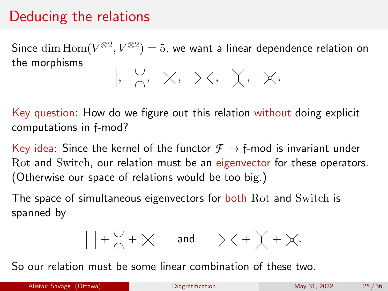# Deducing the relations

Since  $\dim{\rm Hom}(V^{\otimes 2},V^{\otimes 2})=5$ , we want a linear dependence relation on the morphisms  $||, \begin{matrix} 0 \\ 0 \end{matrix}, x, \times, \times, \times, \times.$ 

Key question: How do we figure out this relation without doing explicit computations in f-mod?

Key idea: Since the kernel of the functor  $\mathcal{F} \to \mathfrak{f}$ -mod is invariant under Rot and Switch, our relation must be an eigenvector for these operators. (Otherwise our space of relations would be too big.)

The space of simultaneous eigenvectors for **both** Rot and Switch is spanned by

$$
\Big|\Big|+\mathop{\bigtriangledown}\limits_{\bigtriangleup}+\bigtimes\quad\text{ and }\quad\Big\rangle\!\!\!\!\times\Big|+\bigvee_{\bigtriangleup}+\big\times_{\cdot}.
$$

So our relation must be some linear combination of these two.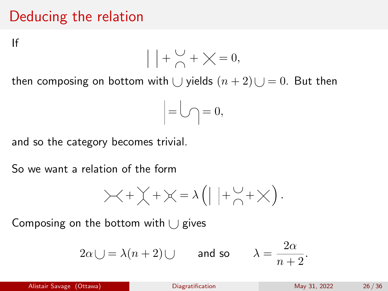# Deducing the relation

If

$$
|+\mathop{\bigtriangledown}\limits_{\bigtriangleup}+\mathop{\bigtriangledown}\limits_{\bigtriangleup}=0,
$$

then composing on bottom with  $\bigcup$  yields  $(n + 2) \bigcup = 0$ . But then

$$
=\bigcup\limits_{i=1}^n=0,
$$

and so the category becomes trivial.

So we want a relation of the form

$$
\times + \times + \times = \lambda \left( \mid \mid + \stackrel{\cup}{\cap} + \times \right).
$$

Composing on the bottom with  $\cup$  gives

$$
2\alpha \cup = \lambda(n+2) \cup
$$
 and so  $\lambda = \frac{2\alpha}{n+2}$ .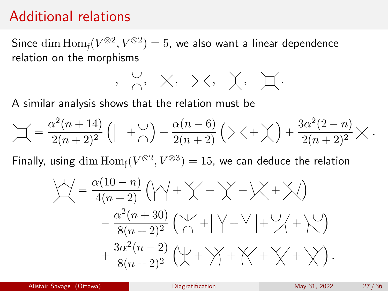## Additional relations

Since  $\dim\operatorname{Hom}_{\mathfrak{f}}(V^{\otimes 2},V^{\otimes 2})=5$ , we also want a linear dependence relation on the morphisms

$$
|,\ \underset{\cap}{\cup},\ \times,\ \times,\ \chi,\ \chi,\ \text{if}.
$$

A similar analysis shows that the relation must be

$$
\mathcal{L} = \frac{\alpha^2(n+14)}{2(n+2)^2} \left( \mid \mid + \mathcal{L} \right) + \frac{\alpha(n-6)}{2(n+2)} \left( \times + \chi \right) + \frac{3\alpha^2(2-n)}{2(n+2)^2} \times \mathbf{R}.
$$

Finally, using  $\dim\mathrm{Hom}_{\mathfrak{f}}(V^{\otimes 2},V^{\otimes 3})=15$ , we can deduce the relation

$$
\begin{aligned}\n\bigvee \bigvee &= \frac{\alpha(10-n)}{4(n+2)} \left( \bigvee \bigvee + \bigvee + \bigvee + \bigvee \bigvee + \bigvee \bigvee\right) \\
&\quad - \frac{\alpha^2(n+30)}{8(n+2)^2} \left( \bigvee \bigvee + \bigvee \bigvee + \bigvee \bigvee + \bigvee \bigvee\right) \\
&\quad + \frac{3\alpha^2(n-2)}{8(n+2)^2} \left( \bigvee \bigvee + \bigvee \bigvee + \bigvee \bigvee + \bigvee \bigvee\right).\n\end{aligned}
$$

Alistair Savage (Ottawa) **[Diagratification](#page-0-0)** Diagratification May 31, 2022 27/36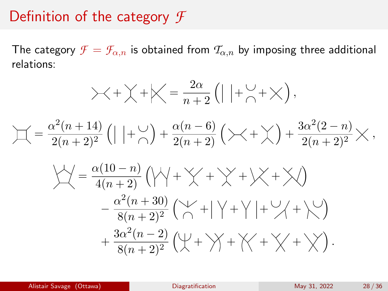## Definition of the category *F*

The category  $\mathcal{F} = \mathcal{F}_{\alpha,n}$  is obtained from  $\mathcal{T}_{\alpha,n}$  by imposing three additional relations:

$$
\times + \times + \times = \frac{2\alpha}{n+2} (|+ \vee_{n} + \times),
$$
  
\n
$$
\Box = \frac{\alpha^{2}(n+14)}{2(n+2)^{2}} (|+ \vee_{n}) + \frac{\alpha(n-6)}{2(n+2)} (\times + \times) + \frac{3\alpha^{2}(2-n)}{2(n+2)^{2}} \times,
$$
  
\n
$$
\frac{\sqrt{2}}{4} = \frac{\alpha(10-n)}{4(n+2)} (\sqrt{2} + \times) + \times \times + \times)
$$
  
\n
$$
- \frac{\alpha^{2}(n+30)}{8(n+2)^{2}} (\sqrt{2} + |+ \vee_{n} + \vee_{n} + \times)
$$
  
\n
$$
+ \frac{3\alpha^{2}(n-2)}{8(n+2)^{2}} (\sqrt{2} + \times) + \times \times + \times).
$$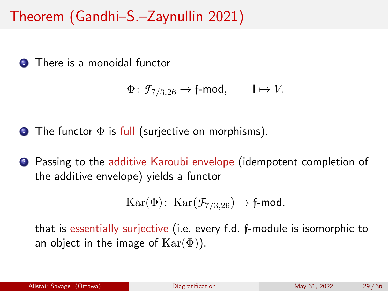# Theorem (Gandhi–S.–Zaynullin 2021)

**1** There is a monoidal functor

$$
\Phi\colon \mathcal{F}_{7/3,26}\to \mathfrak{f}\text{-mod},\qquad \mathsf{I}\mapsto V.
$$

- **2** The functor  $\Phi$  is full (surjective on morphisms).
- <sup>3</sup> Passing to the additive Karoubi envelope (idempotent completion of the additive envelope) yields a functor

$$
Kar(\Phi): Kar(\mathcal{F}_{7/3,26}) \to \text{f-mod}.
$$

that is essentially surjective (i.e. every f.d. f-module is isomorphic to an object in the image of  $\text{Kar}(\Phi)$ ).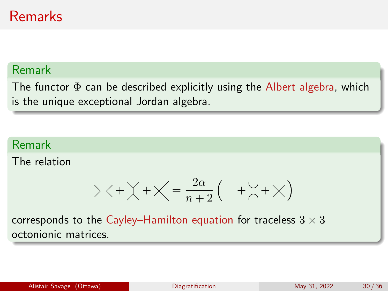# Remarks

#### Remark

The functor  $\Phi$  can be described explicitly using the Albert algebra, which is the unique exceptional Jordan algebra.

#### Remark

The relation

$$
\times + \times + \times = \frac{2\alpha}{n+2} (| |+ \searrow + \times )
$$

corresponds to the Cayley–Hamilton equation for traceless  $3 \times 3$ octonionic matrices.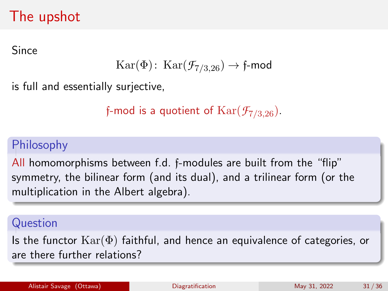# The upshot

Since

$$
\text{Kar}(\Phi) \colon \text{Kar}(\mathcal{F}_{7/3,26}) \to \text{f-mod}
$$

is full and essentially surjective,

```
f-mod is a quotient of \text{Kar}(\mathcal{F}_{7/3,26}).
```
## Philosophy

All homomorphisms between f.d. f-modules are built from the "flip" symmetry, the bilinear form (and its dual), and a trilinear form (or the multiplication in the Albert algebra).

#### Question

Is the functor  $\text{Kar}(\Phi)$  faithful, and hence an equivalence of categories, or are there further relations?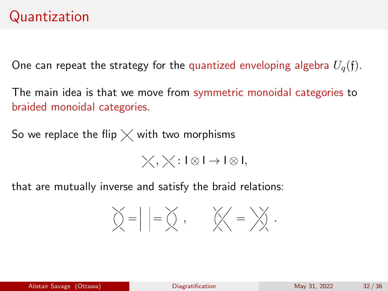One can repeat the strategy for the quantized enveloping algebra  $U_q(f)$ .

The main idea is that we move from symmetric monoidal categories to braided monoidal categories.

So we replace the flip  $\times$  with two morphisms

 $\chi$ ,  $\chi$ : I⊗ I → I⊗I,

that are mutually inverse and satisfy the braid relations:

$$
\bigotimes_{i=1}^{n} \left| \alpha \right| = \bigotimes_{i=1}^{n} \alpha_i, \qquad \bigotimes_{i=1}^{n} \alpha_i = \bigotimes_{i=1}^{n} \alpha_i.
$$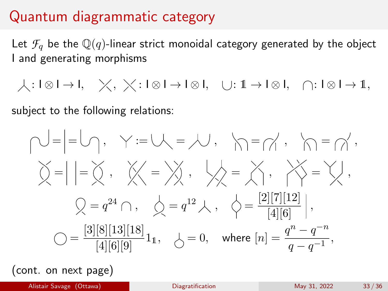## Quantum diagrammatic category

Let  $\mathcal{F}_q$  be the  $\mathbb{Q}(q)$ -linear strict monoidal category generated by the object I and generating morphisms

 $\downarrow: I \otimes I \rightarrow I, \quad \times, \quad \times: I \otimes I \rightarrow I \otimes I, \quad \cup: \mathbb{1} \rightarrow I \otimes I, \quad \cap: I \otimes I \rightarrow \mathbb{1},$ 

subject to the following relations:

$$
\bigvee = \Big| = \bigvee_1, \quad \gamma := \bigvee_1 = \bigvee_1, \quad \bigwedge_1 = \bigwedge'_1, \quad \bigwedge_1 = \bigwedge'_1, \quad \bigwedge_2 = \bigwedge'_2, \quad \bigvee_3 = \bigvee_3 = \bigvee_3, \quad \bigvee_4 = \bigvee_5 = \bigvee_5, \quad \bigvee_5 = \bigvee_6 = \frac{[2][7][12]}{[4][6]} \Big|,
$$
\n
$$
\bigcirc = \frac{[3][8][13][18]}{[4][6][9]} 1_1, \quad \bigcirc = 0, \quad \text{where } [n] = \frac{q^n - q^{-n}}{q - q^{-1}},
$$

(cont. on next page)

Alistair Savage (Ottawa) **[Diagratification](#page-0-0)** Diagratification May 31, 2022 33 / 36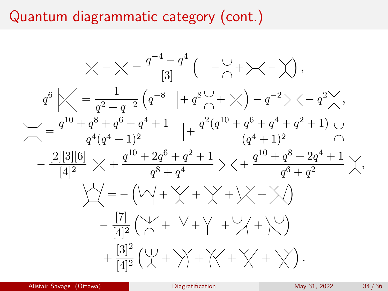## Quantum diagrammatic category (cont.)



Alistair Savage (Ottawa) **[Diagratification](#page-0-0)** Diagratification May 31, 2022 34 / 36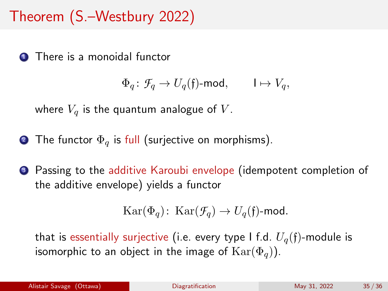# Theorem (S.–Westbury 2022)

**1** There is a monoidal functor

 $\Phi_a: \mathcal{F}_a \to U_a(\mathfrak{f})$ -mod,  $I \mapsto V_a$ ,

where  $V_q$  is the quantum analogue of V.

- **2** The functor  $\Phi_{q}$  is full (surjective on morphisms).
- <sup>3</sup> Passing to the additive Karoubi envelope (idempotent completion of the additive envelope) yields a functor

$$
Kar(\Phi_q): Kar(\mathcal{F}_q) \to U_q(\mathfrak{f})\text{-mod.}
$$

that is essentially surjective (i.e. every type I f.d.  $U_q(f)$ -module is isomorphic to an object in the image of  $\text{Kar}(\Phi_q)$ ).